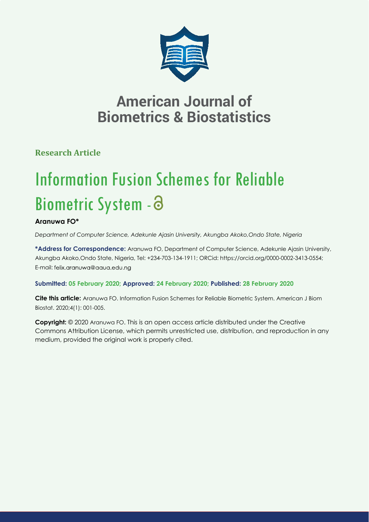

## **American Journal of Biometrics & Biostatistics**

**Research Article**

# Information Fusion Schemes for Reliable Biometric System -

## **Aranuwa FO\***

*Department of Computer Science, Adekunle Ajasin University, Akungba Akoko,Ondo State, Nigeria*

**\*Address for Correspondence:** Aranuwa FO, Department of Computer Science, Adekunle Ajasin University, Akungba Akoko,Ondo State, Nigeria, Tel: +234-703-134-1911; ORCid: https://orcid.org/0000-0002-3413-0554; E-mail: felix.aranuwa@aaua.edu.ng

## **Submitted: 05 February 2020; Approved: 24 February 2020; Published: 28 February 2020**

**Cite this article:** Aranuwa FO. Information Fusion Schemes for Reliable Biometric System. American J Biom Biostat. 2020;4(1): 001-005.

**Copyright:** © 2020 Aranuwa FO. This is an open access article distributed under the Creative Commons Attribution License, which permits unrestricted use, distribution, and reproduction in any medium, provided the original work is properly cited.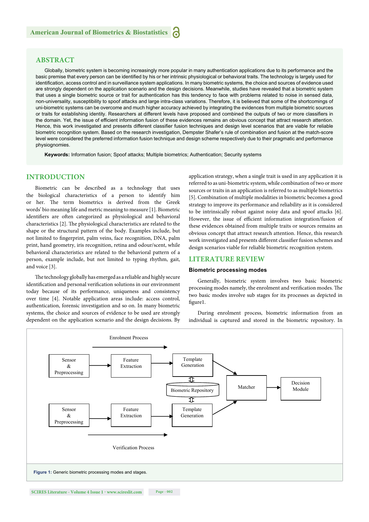## **ABSTRACT**

Globally, biometric system is becoming increasingly more popular in many authentication applications due to its performance and the basic premise that every person can be identified by his or her intrinsic physiological or behavioral traits. The technology is largely used for identification, access control and in surveillance system applications. In many biometric systems, the choice and sources of evidence used are strongly dependent on the application scenario and the design decisions. Meanwhile, studies have revealed that a biometric system that uses a single biometric source or trait for authentication has this tendency to face with problems related to noise in sensed data, non-universality, susceptibility to spoof attacks and large intra-class variations. Therefore, it is believed that some of the shortcomings of uni-biometric systems can be overcome and much higher accuracy achieved by integrating the evidences from multiple biometric sources or traits for establishing identity. Researchers at different levels have proposed and combined the outputs of two or more classifiers in the domain. Yet, the issue of efficient information fusion of these evidences remains an obvious concept that attract research attention. Hence, this work investigated and presents different classifier fusion techniques and design level scenarios that are viable for reliable biometric recognition system. Based on the research investigation, Dempster Shafer's rule of combination and fusion at the match-score level were considered the preferred information fusion technique and design scheme respectively due to their pragmatic and performance physiognomies.

**Keywords:** Information fusion; Spoof attacks; Multiple biometrics; Authentication; Security systems

## **INTRODUCTION**

Biometric can be described as a technology that uses the biological characteristics of a person to identify him or her. The term biometrics is derived from the Greek words' bio meaning life and metric meaning to measure [1]. Biometric identifiers are often categorized as physiological and behavioral characteristics [2]. The physiological characteristics are related to the shape or the structural pattern of the body. Examples include, but not limited to fingerprint, palm veins, face recognition, DNA, palm print, hand geometry, iris recognition, retina and odour/scent, while behavioral characteristics are related to the behavioral pattern of a person, example include, but not limited to typing rhythm, gait, and voice [3].

The technology globally has emerged as a reliable and highly secure identification and personal verification solutions in our environment today because of its performance, uniqueness and consistency over time [4]. Notable application areas include: access control, authentication, forensic investigation and so on. In many biometric systems, the choice and sources of evidence to be used are strongly dependent on the application scenario and the design decisions. By application strategy, when a single trait is used in any application it is referred to as uni-biometric system, while combination of two or more sources or traits in an application is referred to as multiple biometrics [5]. Combination of multiple modalities in biometric becomes a good strategy to improve its performance and reliability as it is considered to be intrinsically robust against noisy data and spoof attacks [6]. However, the issue of efficient information integration/fusion of these evidences obtained from multiple traits or sources remains an obvious concept that attract research attention. Hence, this research work investigated and presents different classifier fusion schemes and design scenarios viable for reliable biometric recognition system.

#### **LITERATURE REVIEW**

#### **Biometric processing modes**

Generally, biometric system involves two basic biometric processing modes namely, the enrolment and verification modes. The two basic modes involve sub stages for its processes as depicted in figure1.

During enrolment process, biometric information from an individual is captured and stored in the biometric repository. In

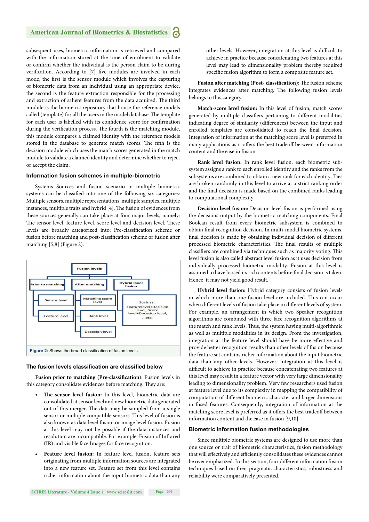## **American Journal of Biometrics & Biostatistics**

subsequent uses, biometric information is retrieved and compared with the information stored at the time of enrolment to validate or confirm whether the individual is the person claim to be during verification. According to [7] five modules are involved in each mode, the first is the sensor module which involves the capturing of biometric data from an individual using an appropriate device, the second is the feature extraction responsible for the processing and extraction of salient features from the data acquired. The third module is the biometric repository that house the reference models called (template) for all the users in the model database. The template for each user is labelled with its confidence score for confirmation during the verification process. The fourth is the matching module, this module compares a claimed identity with the reference models stored in the database to generate match scores. The fifth is the decision module which uses the match scores generated in the match module to validate a claimed identity and determine whether to reject or accept the claim.

#### **Information fusion schemes in multiple-biometric**

Systems Sources and fusion scenario in multiple biometric systems can be classified into one of the following six categories: Multiple sensors, multiple representations, multiple samples, multiple instances, multiple traits and hybrid [4]. The fusion of evidences from these sources generally can take place at four major levels, namely: The sensor level, feature level, score level and decision level. These levels are broadly categorized into: Pre-classification scheme or fusion before matching and post-classification scheme or fusion after matching [5,8] (Figure 2).



#### **The fusion levels classification are classified below**

**Fusion prior to matching (Pre-classification):** Fusion levels in this category consolidate evidences before matching. They are:

- The sensor level fusion: In this level, biometric data are consolidated at sensor level and new biometric data generated out of this merger. The data may be sampled from a single sensor or multiple compatible sensors. This level of fusion is also known as data level fusion or image level fusion. Fusion at this level may not be possible if the data instances and resolution are incompatible. For example: Fusion of Infrared (IR) and visible face Images for face recognition.
- **Feature level fusion:** In feature level fusion, feature sets originating from multiple information sources are integrated into a new feature set. Feature set from this level contains richer information about the input biometric data than any

other levels. However, integration at this level is difficult to achieve in practice because concatenating two features at this level may lead to dimensionality problem thereby required specific fusion algorithm to form a composite feature set.

Fusion after matching (Post- classification): The fusion scheme integrates evidences after matching. The following fusion levels belongs to this category:

**Match-score level fusion:** In this level of fusion, match scores generated by multiple classifiers pertaining to different modalities indicating degree of similarity (differences) between the input and enrolled templates are consolidated to reach the final decision. Integration of information at the matching score level is preferred in many applications as it offers the best tradeoff between information content and the ease in fusion.

**Rank level fusion:** In rank level fusion, each biometric subsystem assigns a rank to each enrolled identity and the ranks from the subsystems are combined to obtain a new rank for each identity. Ties are broken randomly in this level to arrive at a strict ranking order and the final decision is made based on the combined ranks leading to computational complexity.

**Decision level fusion:** Decision level fusion is performed using the decisions output by the biometric matching components. Final Boolean result from every biometric subsystem is combined to obtain final recognition decision. In multi-modal biometric systems, final decision is made by obtaining individual decision of different processed biometric characteristics. The final results of multiple classifiers are combined via techniques such as majority voting. This level fusion is also called abstract level fusion as it uses decision from individually processed biometric modality. Fusion at this level is assumed to have loosed its rich contents before final decision is taken. Hence, it may not yield good result.

**Hybrid level fusion:** Hybrid category consists of fusion levels in which more than one fusion level are included. This can occur when different levels of fusion take place in different levels of system. For example, an arrangement in which two Speaker recognition algorithms are combined with three face recognition algorithms at the match and rank levels. Thus, the system having multi-algorithmic as well as multiple modalities in its design. From the investigation, integration at the feature level should have be more effective and provide better recognition results than other levels of fusion because the feature set contains richer information about the input biometric data than any other levels. However, integration at this level is difficult to achieve in practice because concatenating two features at this level may result in a feature vector with very large dimensionality leading to dimensionality problem. Very few researchers used fusion at feature level due to its complexity in mapping the compatibility of computation of different biometric character and larger dimensions in fused features. Consequently, integration of information at the matching score level is preferred as it offers the best tradeoff between information content and the ease in fusion [9,10].

#### **Biometric information fusion methodologies**

Since multiple biometric systems are designed to use more than one source or trait of biometric characteristics, fusion methodology that will effectively and efficiently consolidates these evidences cannot be over emphasized. In this section, four different information fusion techniques based on their pragmatic characteristics, robustness and reliability were comparatively presented.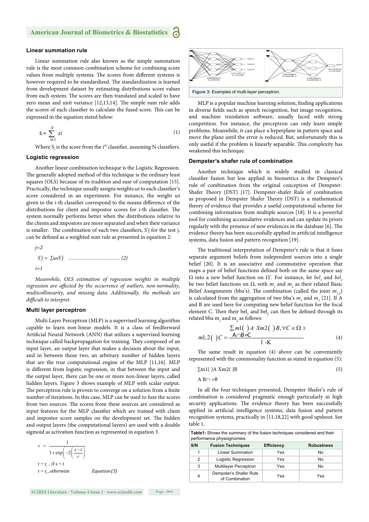#### **Linear summation rule**

Linear summation rule also known as the simple summation rule is the most common combination scheme for combining score values from multiple systems. The scores from different systems is however required to be standardized. The standardization is learned from development dataset by estimating distributions score values from each system. The scores are then translated and scaled to have zero mean and unit variance  $[12,13,14]$ . The simple sum rule adds the scores of each classifier to calculate the fused score. This can be expressed in the equation stated below:

$$
S = \sum_{i=1}^{N} s i \tag{1}
$$

Where S<sub>i</sub> is the score from the i<sup>th</sup> classifier, assuming N classifiers.

#### **Logistic regression**

Another linear combination technique is the Logistic Regression. The generally adopted method of this technique is the ordinary least squares (OLS) because of its tradition and ease of computation [15]. Practically, the technique usually assigns weights wi to each classifier's score considered in an experiment. For instance, the weight ωi given to the i-th classifier correspond to the means difference of the distributions for client and impostor scores for i-th classifier. The system normally performs better when the distributions relative to the clients and impostors are more separated and when their variance is smaller. The combination of such two classifiers,  $S'$  for the test j, can be defined as a weighted sum rule as presented in equation 2:

$$
j=2
$$
  
\n $S'j = \sum \omega i S'j$  ....... (2)  
\n $i=1$ 

*Meanwhile, OLS estimation of regression weights in multiple*  regression are affected by the occurrence of outliers, non-normality, *multicollinearity, and missing data. Additionally, the methods are difficult to interpret.* 

#### **Multi layer perceptron**

Multi Layer Perceptron (MLP) is a supervised learning algorithm capable to learn non-linear models. It is a class of feedforward Artificial Neural Network (ANN) that utilizes a supervised learning technique called backpropagation for training. They composed of an input layer, an output layer that makes a decision about the input, and in between those two, an arbitrary number of hidden layers that are the true computational engine of the MLP [11,16]. MLP is different from logistic regression, in that between the input and the output layer, there can be one or more non-linear layers, called hidden layers. Figure 3 shows example of MLP with scalar output. The perceptron rule is proven to converge on a solution from a finite number of iterations. In this case, MLP can be used to fuse the scores from two sources. The scores from these sources are considered as input features for the MLP classifier which are trained with client and impostor score samples on the development set. The hidden and output layers (the computational layers) are used with a double sigmoid as activation function as represented in equation 3.

$$
s' = \frac{1}{1 + \exp\left(-2\left(\frac{s - t}{r}\right)\right)}
$$
  
r = r<sub>1</sub>, if s < t  
r = r<sub>2</sub>, otherwise Equation (3)





MLP is a popular machine learning solution, finding applications in diverse fields such as speech recognition, but image recognition, and machine translation software, usually faced with strong competition. For instance, the perceptron can only learn simple problems. Meanwhile, it can place a hyperplane in pattern space and move the plane until the error is reduced. But, unfortunately this is only useful if the problem is linearly separable. This complexity has weakened this technique.

#### **Dempster's shafer rule of combination**

Another technique which is widely studied in classical classifier fusion but less applied in biometrics is the Dempster's rule of combination from the original conception of Dempster-Shafer Theory (DST) [17]. Dempster-shafer Rule of combination as proposed in Dempster Shafer Theory (DST) is a mathematical theory of evidence that provides a useful computational scheme for combining information from multiple sources [18]. It is a powerful tool for combining accumulative evidences and can update its priors regularly with the presence of new evidences in the database [6]. The evidence theory has been successfully applied in artificial intelligence systems, data fusion and pattern recognition [19].

The traditional interpretation of Dempster's rule is that it fuses separate argument beliefs from independent sources into a single belief [20]. It is an associative and commutative operation that maps a pair of belief functions defined both on the same space say  $Ω$  into a new belief function on  $Ω'$ . For instance, let *bel<sub>1</sub>* and *bel<sub>2</sub>* be two belief functions on  $\Omega$ , with  $m_1$  and  $m_2$  as their related Basic Belief Assignments (bba's). The combination (called the joint  $m_{1,2}$ ) is calculated from the aggregation of two bba's  $m<sub>1</sub>$  and  $m<sub>2</sub>$  [21]. If A and B are used here for computing new belief function for the focal element C. Then their bel<sub>1</sub> and bel<sub>2</sub> can then be defined through its related bba  $m_1$  and  $m_2$  as follows:

$$
\sum m1(\ )A \ Xm2(\ )B, \forall C \in \Omega 3
$$
  

$$
m1,2(\ )C = \frac{A \cap B=C}{1-K}
$$
 (4)

The same result in equation  $(4)$  above can be conveniently represented with the commonality function as stated in equation (5):

$$
\Sigma m1()A Xm2()B \tag{5}
$$

$$
A B \cap = \theta
$$

In all the four techniques presented, Dempster Shafer's rule of combination is considered pragmatic enough particularly in high security applications. The evidence theory has been successfully applied in artificial intelligence systems, data fusion and pattern recognition systems, practically in [11,18,22] with good upshoot. See table 1.

| <b>Table1:</b> Shows the summary of the fusion techniques considered and their<br>performance physiognomies. |                                          |                   |                   |
|--------------------------------------------------------------------------------------------------------------|------------------------------------------|-------------------|-------------------|
| S/N                                                                                                          | <b>Fusion Techniques</b>                 | <b>Efficiency</b> | <b>Robustness</b> |
| 1                                                                                                            | <b>Linear Summation</b>                  | Yes               | No                |
| 2                                                                                                            | Logistic Regression                      | Yes               | No                |
| 3                                                                                                            | <b>Multilayer Perceptron</b>             | Yes               | No                |
| $\overline{4}$                                                                                               | Dempster's Shafer Rule<br>of Combination | Yes               | Yes               |